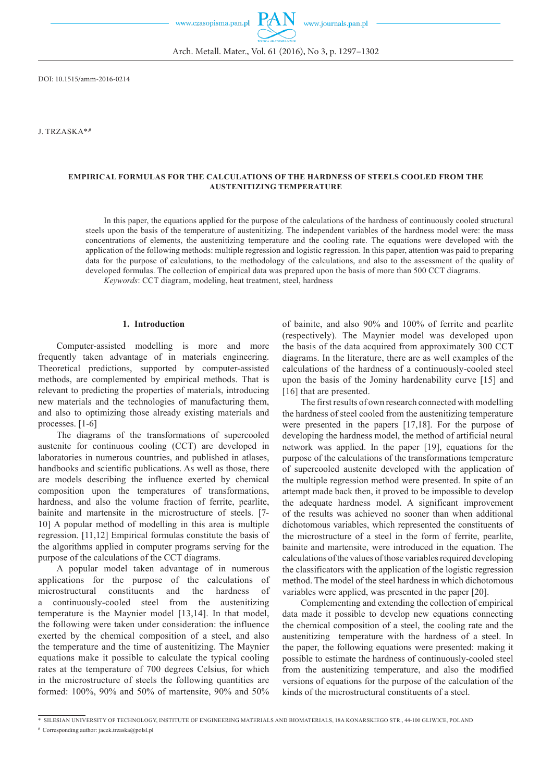Arch. Metall. Mater., Vol. 61 (2016), No 3, p. 1297–1302

DOI: 10.1515/amm-2016-0214

J. Trzaska\***,#** 

# **EMPIRICAL FORMULAS FOR THE CALCULATIONS OF THE HARDNESS OF STEELS COOLED FROM THE AUSTENITIZING TEMPERATURE**

In this paper, the equations applied for the purpose of the calculations of the hardness of continuously cooled structural steels upon the basis of the temperature of austenitizing. The independent variables of the hardness model were: the mass concentrations of elements, the austenitizing temperature and the cooling rate. The equations were developed with the application of the following methods: multiple regression and logistic regression. In this paper, attention was paid to preparing data for the purpose of calculations, to the methodology of the calculations, and also to the assessment of the quality of developed formulas. The collection of empirical data was prepared upon the basis of more than 500 CCT diagrams. *Keywords*: CCT diagram, modeling, heat treatment, steel, hardness

# **1. Introduction**

Computer-assisted modelling is more and more frequently taken advantage of in materials engineering. Theoretical predictions, supported by computer-assisted methods, are complemented by empirical methods. That is relevant to predicting the properties of materials, introducing new materials and the technologies of manufacturing them, and also to optimizing those already existing materials and processes. [1-6]

The diagrams of the transformations of supercooled austenite for continuous cooling (CCT) are developed in laboratories in numerous countries, and published in atlases, handbooks and scientific publications. As well as those, there are models describing the influence exerted by chemical composition upon the temperatures of transformations, hardness, and also the volume fraction of ferrite, pearlite, bainite and martensite in the microstructure of steels. [7- 10] A popular method of modelling in this area is multiple regression. [11,12] Empirical formulas constitute the basis of the algorithms applied in computer programs serving for the purpose of the calculations of the CCT diagrams.

A popular model taken advantage of in numerous applications for the purpose of the calculations of microstructural constituents and the hardness of a continuously-cooled steel from the austenitizing temperature is the Maynier model [13,14]. In that model, the following were taken under consideration: the influence exerted by the chemical composition of a steel, and also the temperature and the time of austenitizing. The Maynier equations make it possible to calculate the typical cooling rates at the temperature of 700 degrees Celsius, for which in the microstructure of steels the following quantities are formed: 100%, 90% and 50% of martensite, 90% and 50% of bainite, and also 90% and 100% of ferrite and pearlite (respectively). The Maynier model was developed upon the basis of the data acquired from approximately 300 CCT diagrams. In the literature, there are as well examples of the calculations of the hardness of a continuously-cooled steel upon the basis of the Jominy hardenability curve [15] and [16] that are presented.

The first results of own research connected with modelling the hardness of steel cooled from the austenitizing temperature were presented in the papers [17,18]. For the purpose of developing the hardness model, the method of artificial neural network was applied. In the paper [19], equations for the purpose of the calculations of the transformations temperature of supercooled austenite developed with the application of the multiple regression method were presented. In spite of an attempt made back then, it proved to be impossible to develop the adequate hardness model. A significant improvement of the results was achieved no sooner than when additional dichotomous variables, which represented the constituents of the microstructure of a steel in the form of ferrite, pearlite, bainite and martensite, were introduced in the equation. The calculations of the values of those variables required developing the classificators with the application of the logistic regression method. The model of the steel hardness in which dichotomous variables were applied, was presented in the paper [20].

Complementing and extending the collection of empirical data made it possible to develop new equations connecting the chemical composition of a steel, the cooling rate and the austenitizing temperature with the hardness of a steel. In the paper, the following equations were presented: making it possible to estimate the hardness of continuously-cooled steel from the austenitizing temperature, and also the modified versions of equations for the purpose of the calculation of the kinds of the microstructural constituents of a steel.

**#** Corresponding author: jacek.trzaska@polsl.pl

<sup>\*</sup>SILESIAN UNIVERSITY OF TECHNOLOGY, INSTITUTE OF ENGINEERING MATERIALS AND BIOMATERIALS, 18A KONARSKIEGO STR., 44-100 GLIWICE, POLAND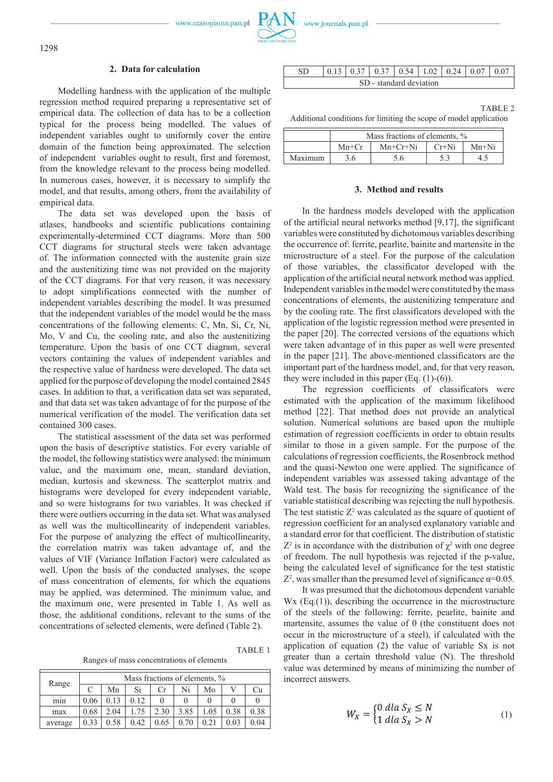Modelling hardness with the application of the multiple regression method required preparing a representative set of empirical data. The collection of data has to be a collection typical for the process being modelled. The values of independent variables ought to uniformly cover the entire domain of the function being approximated. The selection of independent variables ought to result, first and foremost, from the knowledge relevant to the process being modelled. In numerous cases, however, it is necessary to simplify the model, and that results, among others, from the availability of empirical data.

The data set was developed upon the basis of atlases, handbooks and scientific publications containing experimentally-determined CCT diagrams. More than 500 CCT diagrams for structural steels were taken advantage of. The information connected with the austenite grain size and the austenitizing time was not provided on the majority of the CCT diagrams. For that very reason, it was necessary to adopt simplifications connected with the number of independent variables describing the model. It was presumed that the independent variables of the model would be the mass concentrations of the following elements: C, Mn, Si, Cr, Ni, Mo, V and Cu, the cooling rate, and also the austenitizing temperature. Upon the basis of one CCT diagram, several vectors containing the values of independent variables and the respective value of hardness were developed. The data set applied for the purpose of developing the model contained 2845 cases. In addition to that, a verification data set was separated, and that data set was taken advantage of for the purpose of the numerical verification of the model. The verification data set contained 300 cases.

The statistical assessment of the data set was performed upon the basis of descriptive statistics. For every variable of the model, the following statistics were analysed: the minimum value, and the maximum one, mean, standard deviation, median, kurtosis and skewness. The scatterplot matrix and histograms were developed for every independent variable, and so were histograms for two variables. It was checked if there were outliers occurring in the data set. What was analysed as well was the multicollinearity of independent variables. For the purpose of analyzing the effect of multicollinearity, the correlation matrix was taken advantage of, and the values of VIF (Variance Inflation Factor) were calculated as well. Upon the basis of the conducted analyses, the scope of mass concentration of elements, for which the equations may be applied, was determined. The minimum value, and the maximum one, were presented in Table 1. As well as those, the additional conditions, relevant to the sums of the concentrations of selected elements, were defined (Table 2).

TABLE 1 Ranges of mass concentrations of elements

| Range   | Mass fractions of elements, % |      |      |      |      |      |      |      |
|---------|-------------------------------|------|------|------|------|------|------|------|
|         |                               | Mn   | Si   | Сr   | Ni   | Mo   |      | Сu   |
| min     | 0.06                          | 0.13 | 0.12 |      |      |      |      |      |
| max     | 0.68                          | 2.04 |      | 2.30 | 3.85 | .05  | 0.38 | 0.38 |
| average | 0.33                          | 0.58 | 0.42 | 0.65 | 0.70 | 0.21 | 0.03 | 0.04 |

| SD.                     |  |  | $\vert 0.13 \vert 0.37 \vert 0.37 \vert 0.54 \vert 1.02 \vert 0.24 \vert 0.07 \vert 0.07$ |  |  |  |  |  |
|-------------------------|--|--|-------------------------------------------------------------------------------------------|--|--|--|--|--|
| SD - standard deviation |  |  |                                                                                           |  |  |  |  |  |

TABLE 2 Additional conditions for limiting the scope of model application

|         | Mass fractions of elements, % |                |         |         |  |  |
|---------|-------------------------------|----------------|---------|---------|--|--|
|         | $Mn+Cr$                       | $Mn + Cr + Ni$ | $Cr+Ni$ | $Mn+Ni$ |  |  |
| Maximum | 36.                           | 5.6            |         |         |  |  |

### **3. Method and results**

In the hardness models developed with the application of the artificial neural networks method [9,17], the significant variables were constituted by dichotomous variables describing the occurrence of: ferrite, pearlite, bainite and martensite in the microstructure of a steel. For the purpose of the calculation of those variables, the classificator developed with the application of the artificial neural network method was applied. Independent variables in the model were constituted by the mass concentrations of elements, the austenitizing temperature and by the cooling rate. The first classificators developed with the application of the logistic regression method were presented in the paper [20]. The corrected versions of the equations which were taken advantage of in this paper as well were presented in the paper [21]. The above-mentioned classificators are the important part of the hardness model, and, for that very reason, they were included in this paper  $(Eq. (1)-(6))$ .

The regression coefficients of classificators were estimated with the application of the maximum likelihood method [22]. That method does not provide an analytical solution. Numerical solutions are based upon the multiple estimation of regression coefficients in order to obtain results similar to those in a given sample. For the purpose of the calculations of regression coefficients, the Rosenbrock method and the quasi-Newton one were applied. The significance of independent variables was assessed taking advantage of the Wald test. The basis for recognizing the significance of the variable statistical describing was rejecting the null hypothesis. The test statistic  $Z^2$  was calculated as the square of quotient of regression coefficient for an analysed explanatory variable and a standard error for that coefficient. The distribution of statistic Z<sup>2</sup> is in accordance with the distribution of  $\chi^2$  with one degree of freedom. The null hypothesis was rejected if the p-value, being the calculated level of significance for the test statistic  $Z^2$ , was smaller than the presumed level of significance  $\alpha=0.05$ .

It was presumed that the dichotomous dependent variable  $Wx$  (Eq.(1)), describing the occurrence in the microstructure of the steels of the following: ferrite, pearlite, bainite and martensite, assumes the value of 0 (the constituent does not occur in the microstructure of a steel), if calculated with the application of equation (2) the value of variable Sx is not greater than a certain threshold value (N). The threshold value was determined by means of minimizing the number of incorrect answers.

$$
W_X = \begin{cases} 0 \, dla \, S_X \le N \\ 1 \, dla \, S_X > N \end{cases} \tag{1}
$$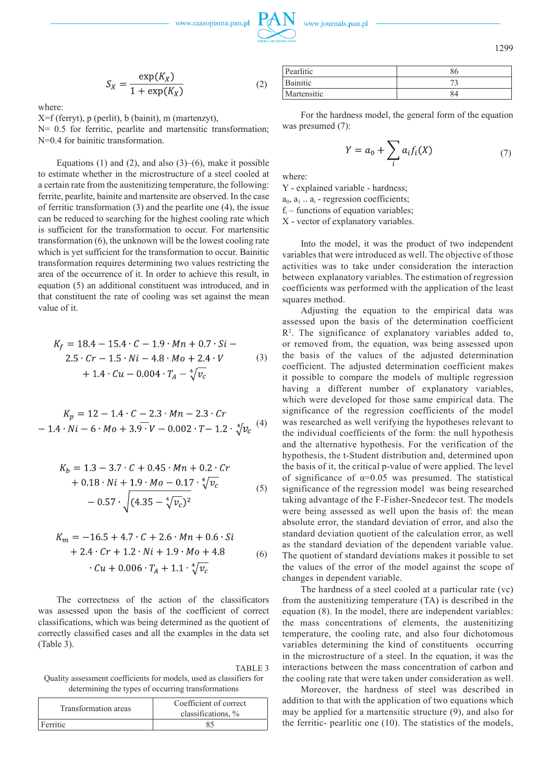

$$
S_X = \frac{\exp(K_X)}{1 + \exp(K_X)}\tag{2}
$$

where:

X=f (ferryt), p (perlit), b (bainit), m (martenzyt),

N= 0.5 for ferritic, pearlite and martensitic transformation; N=0.4 for bainitic transformation.

Equations (1) and (2), and also  $(3)$ – $(6)$ , make it possible to estimate whether in the microstructure of a steel cooled at a certain rate from the austenitizing temperature, the following: ferrite, pearlite, bainite and martensite are observed. In the case of ferritic transformation (3) and the pearlite one (4), the issue can be reduced to searching for the highest cooling rate which is sufficient for the transformation to occur. For martensitic transformation (6), the unknown will be the lowest cooling rate which is yet sufficient for the transformation to occur. Bainitic transformation requires determining two values restricting the area of the occurrence of it. In order to achieve this result, in equation (5) an additional constituent was introduced, and in that constituent the rate of cooling was set against the mean value of it.

$$
K_f = 18.4 - 15.4 \cdot C - 1.9 \cdot Mn + 0.7 \cdot Si - 2.5 \cdot Cr - 1.5 \cdot Ni - 4.8 \cdot Mo + 2.4 \cdot V
$$
  
+ 1.4 \cdot Cu - 0.004 \cdot T\_A -  $\sqrt[4]{v_c}$  (3)

$$
K_p = 12 - 1.4 \cdot C - 2.3 \cdot Mn - 2.3 \cdot Cr
$$
  
- 1.4 \cdot Ni - 6 \cdot Mo + 3.9 \cdot V - 0.002 \cdot T - 1.2 \cdot \sqrt[4]{v\_c}^{(4)}

$$
K_b = 1.3 - 3.7 \cdot C + 0.45 \cdot Mn + 0.2 \cdot Cr + 0.18 \cdot Ni + 1.9 \cdot Mo - 0.17 \cdot \sqrt[4]{v_c} - 0.57 \cdot \sqrt{(4.35 - \sqrt[4]{v_c})^2}
$$
(5)

$$
K_m = -16.5 + 4.7 \cdot C + 2.6 \cdot Mn + 0.6 \cdot Si + 2.4 \cdot Cr + 1.2 \cdot Ni + 1.9 \cdot Mo + 4.8
$$
  

$$
\cdot Cu + 0.006 \cdot T_A + 1.1 \cdot \sqrt[4]{v_c}
$$
  
(6)

The correctness of the action of the classificators was assessed upon the basis of the coefficient of correct classifications, which was being determined as the quotient of correctly classified cases and all the examples in the data set (Table 3).

TABLE 3 Quality assessment coefficients for models, used as classifiers for determining the types of occurring transformations

| Transformation areas | Coefficient of correct<br>classifications. % |
|----------------------|----------------------------------------------|
| Ferritic             |                                              |

| Pearlitic   |    |
|-------------|----|
| Bainitic    |    |
| Martensitic | 54 |

For the hardness model, the general form of the equation was presumed (7):

$$
Y = a_0 + \sum_i a_i f_i(X) \tag{7}
$$

where:

Y - explained variable - hardness;  $a_0$ ,  $a_1$  ...  $a_i$  - regression coefficients;  $f_i$  – functions of equation variables;

X - vector of explanatory variables.

Into the model, it was the product of two independent variables that were introduced as well. The objective of those activities was to take under consideration the interaction between explanatory variables. The estimation of regression coefficients was performed with the application of the least squares method.

Adjusting the equation to the empirical data was assessed upon the basis of the determination coefficient R2 . The significance of explanatory variables added to, or removed from, the equation, was being assessed upon the basis of the values of the adjusted determination coefficient. The adjusted determination coefficient makes it possible to compare the models of multiple regression having a different number of explanatory variables, which were developed for those same empirical data. The significance of the regression coefficients of the model was researched as well verifying the hypotheses relevant to the individual coefficients of the form: the null hypothesis and the alternative hypothesis. For the verification of the hypothesis, the t-Student distribution and, determined upon the basis of it, the critical p-value of were applied. The level of significance of  $\alpha=0.05$  was presumed. The statistical significance of the regression model was being researched taking advantage of the F-Fisher-Snedecor test. The models were being assessed as well upon the basis of: the mean absolute error, the standard deviation of error, and also the standard deviation quotient of the calculation error, as well as the standard deviation of the dependent variable value. The quotient of standard deviations makes it possible to set the values of the error of the model against the scope of changes in dependent variable.

The hardness of a steel cooled at a particular rate (vc) from the austenitizing temperature (TA) is described in the equation (8). In the model, there are independent variables: the mass concentrations of elements, the austenitizing temperature, the cooling rate, and also four dichotomous variables determining the kind of constituents occurring in the microstructure of a steel. In the equation, it was the interactions between the mass concentration of carbon and the cooling rate that were taken under consideration as well.

Moreover, the hardness of steel was described in addition to that with the application of two equations which may be applied for a martensitic structure (9), and also for the ferritic- pearlitic one (10). The statistics of the models,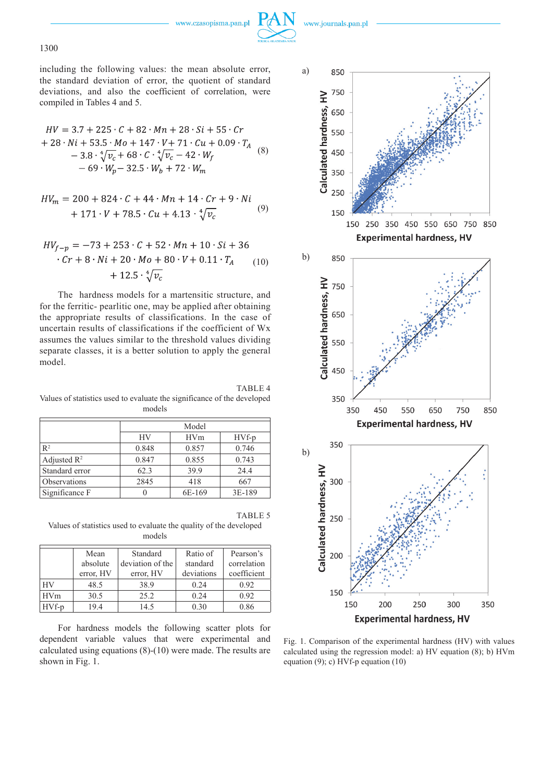

1300

including the following values: the mean absolute error, the standard deviation of error, the quotient of standard deviations, and also the coefficient of correlation, were compiled in Tables 4 and 5.

$$
HV = 3.7 + 225 \cdot C + 82 \cdot Mn + 28 \cdot Si + 55 \cdot Cr + 28 \cdot Ni + 53.5 \cdot Mo + 147 \cdot V + 71 \cdot Cu + 0.09 \cdot T_A - 3.8 \cdot \sqrt[4]{v_c} + 68 \cdot C \cdot \sqrt[4]{v_c} - 42 \cdot W_f - 69 \cdot W_p - 32.5 \cdot W_b + 72 \cdot W_m
$$
 (8)

$$
HV_m = 200 + 824 \cdot C + 44 \cdot Mn + 14 \cdot Cr + 9 \cdot Ni
$$
  
+ 171 \cdot V + 78.5 \cdot Cu + 4.13 \cdot \sqrt[4]{v\_c} (9)

$$
HV_{f-p} = -73 + 253 \cdot C + 52 \cdot Mn + 10 \cdot Si + 36
$$
  
 
$$
\cdot Cr + 8 \cdot Ni + 20 \cdot Mo + 80 \cdot V + 0.11 \cdot T_A
$$
  
 
$$
+ 12.5 \cdot \sqrt[4]{v_c}
$$
 (10)

The hardness models for a martensitic structure, and for the ferritic- pearlitic one, may be applied after obtaining the appropriate results of classifications. In the case of uncertain results of classifications if the coefficient of Wx assumes the values similar to the threshold values dividing separate classes, it is a better solution to apply the general model.

TABLE 4 Values of statistics used to evaluate the significance of the developed models

|                         | Model     |            |        |  |
|-------------------------|-----------|------------|--------|--|
|                         | <b>HV</b> | <b>HVm</b> | HVf-p  |  |
| $R^2$                   | 0.848     | 0.857      | 0.746  |  |
| Adjusted $\mathbb{R}^2$ | 0.847     | 0.855      | 0.743  |  |
| Standard error          | 62.3      | 39.9       | 24.4   |  |
| Observations            | 2845      | 418        | 667    |  |
| Significance F          | 0         | 6E-169     | 3E-189 |  |

TABLE 5 Values of statistics used to evaluate the quality of the developed

| м<br>10 |  |
|---------|--|
|---------|--|

|            | Mean      | Standard         | Ratio of   | Pearson's   |  |
|------------|-----------|------------------|------------|-------------|--|
|            | absolute  | deviation of the | standard   | correlation |  |
|            | error, HV | error, HV        | deviations | coefficient |  |
| HV         | 48.5      | 38.9             | 0.24       | 0.92        |  |
| <b>HVm</b> | 30.5      | 25.2             | 0.24       | 0.92        |  |
| HVf-p      | 19.4      | 14.5             | 0.30       | 0.86        |  |

For hardness models the following scatter plots for dependent variable values that were experimental and calculated using equations (8)-(10) were made. The results are shown in Fig. 1.



Fig. 1. Comparison of the experimental hardness (HV) with values calculated using the regression model: a) HV equation (8); b) HVm equation (9); c) HVf-p equation (10)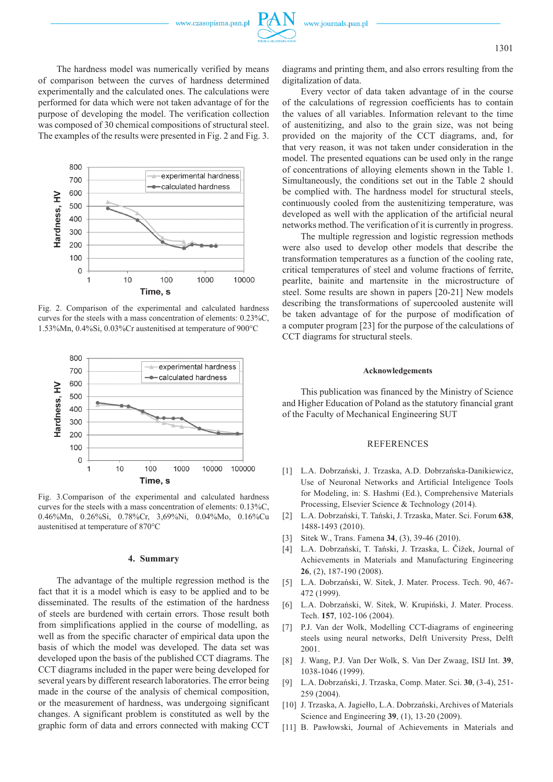The hardness model was numerically verified by means of comparison between the curves of hardness determined experimentally and the calculated ones. The calculations were performed for data which were not taken advantage of for the purpose of developing the model. The verification collection was composed of 30 chemical compositions of structural steel. The examples of the results were presented in Fig. 2 and Fig. 3.



Fig. 2. Comparison of the experimental and calculated hardness curves for the steels with a mass concentration of elements: 0.23%C, 1.53%Mn, 0.4%Si, 0.03%Cr austenitised at temperature of 900°C



Fig. 3.Comparison of the experimental and calculated hardness curves for the steels with a mass concentration of elements: 0.13%C, 0.46%Mn, 0.26%Si, 0.78%Cr, 3,69%Ni, 0.04%Mo, 0.16%Cu austenitised at temperature of 870°C

#### **4. Summary**

The advantage of the multiple regression method is the fact that it is a model which is easy to be applied and to be disseminated. The results of the estimation of the hardness of steels are burdened with certain errors. Those result both from simplifications applied in the course of modelling, as well as from the specific character of empirical data upon the basis of which the model was developed. The data set was developed upon the basis of the published CCT diagrams. The CCT diagrams included in the paper were being developed for several years by different research laboratories. The error being made in the course of the analysis of chemical composition, or the measurement of hardness, was undergoing significant changes. A significant problem is constituted as well by the graphic form of data and errors connected with making CCT

diagrams and printing them, and also errors resulting from the digitalization of data.

Every vector of data taken advantage of in the course of the calculations of regression coefficients has to contain the values of all variables. Information relevant to the time of austenitizing, and also to the grain size, was not being provided on the majority of the CCT diagrams, and, for that very reason, it was not taken under consideration in the model. The presented equations can be used only in the range of concentrations of alloying elements shown in the Table 1. Simultaneously, the conditions set out in the Table 2 should be complied with. The hardness model for structural steels, continuously cooled from the austenitizing temperature, was developed as well with the application of the artificial neural networks method. The verification of it is currently in progress.

The multiple regression and logistic regression methods were also used to develop other models that describe the transformation temperatures as a function of the cooling rate, critical temperatures of steel and volume fractions of ferrite, pearlite, bainite and martensite in the microstructure of steel. Some results are shown in papers [20-21] New models describing the transformations of supercooled austenite will be taken advantage of for the purpose of modification of a computer program [23] for the purpose of the calculations of CCT diagrams for structural steels.

## **Acknowledgements**

This publication was financed by the Ministry of Science and Higher Education of Poland as the statutory financial grant of the Faculty of Mechanical Engineering SUT

# **REFERENCES**

- [1] L.A. Dobrzański, J. Trzaska, A.D. Dobrzańska-Danikiewicz, Use of Neuronal Networks and Artificial Inteligence Tools for Modeling, in: S. Hashmi (Ed.), Comprehensive Materials Processing, Elsevier Science & Technology (2014).
- [2] L.A. Dobrzański, T. Tański, J. Trzaska, Mater. Sci. Forum **638**, 1488-1493 (2010).
- [3] Sitek W., Trans. Famena **34**, (3), 39-46 (2010).
- [4] L.A. Dobrzański, T. Tański, J. Trzaska, L. Čížek, Journal of Achievements in Materials and Manufacturing Engineering **26**, (2), 187-190 (2008).
- [5] L.A. Dobrzański, W. Sitek, J. Mater. Process. Tech. 90, 467- 472 (1999).
- [6] L.A. Dobrzański, W. Sitek, W. Krupiński, J. Mater. Process. Tech. **157**, 102-106 (2004).
- [7] P.J. Van der Wolk, Modelling CCT-diagrams of engineering steels using neural networks, Delft University Press, Delft 2001.
- [8] J. Wang, P.J. Van Der Wolk, S. Van Der Zwaag, ISIJ Int. **39**, 1038-1046 (1999).
- [9] L.A. Dobrzański, J. Trzaska, Comp. Mater. Sci. **30**, (3-4), 251- 259 (2004).
- [10] J. Trzaska, A. Jagiełło, L.A. Dobrzański, Archives of Materials Science and Engineering **39**, (1), 13-20 (2009).
- [11] B. Pawłowski, Journal of Achievements in Materials and